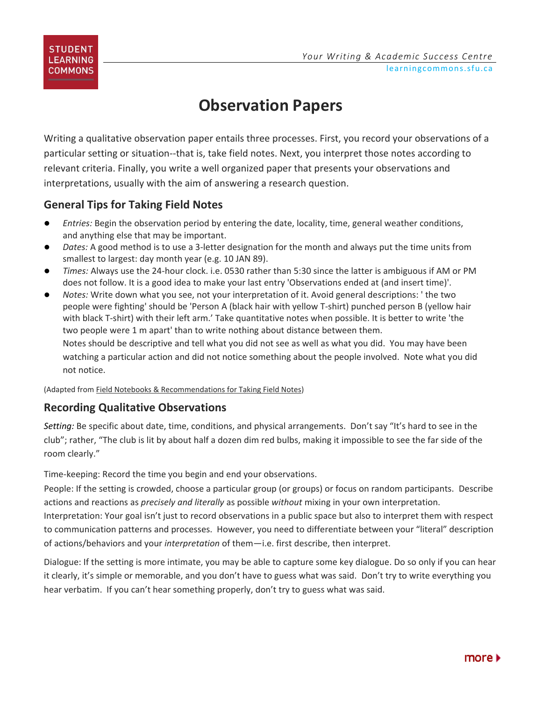

## **Observation Papers**

Writing a qualitative observation paper entails three processes. First, you record your observations of a particular setting or situation--that is, take field notes. Next, you interpret those notes according to relevant criteria. Finally, you write a well organized paper that presents your observations and interpretations, usually with the aim of answering a research question.

## **General Tips for Taking Field Notes**

- *Entries:* Begin the observation period by entering the date, locality, time, general weather conditions, and anything else that may be important.
- *Dates:* A good method is to use a 3-letter designation for the month and always put the time units from smallest to largest: day month year (e.g. 10 JAN 89).
- *Times:* Always use the 24-hour clock. i.e. 0530 rather than 5:30 since the latter is ambiguous if AM or PM does not follow. It is a good idea to make your last entry 'Observations ended at (and insert time)'.
- *Notes:* Write down what you see, not your interpretation of it. Avoid general descriptions: ' the two people were fighting' should be 'Person A (black hair with yellow T-shirt) punched person B (yellow hair with black T-shirt) with their left arm.' Take quantitative notes when possible. It is better to write 'the two people were 1 m apart' than to write nothing about distance between them. Notes should be descriptive and tell what you did not see as well as what you did. You may have been watching a particular action and did not notice something about the people involved. Note what you did not notice.

(Adapted fro[m Field Notebooks & Recommendations for Taking Field Notes\)](http://facstaff.unca.edu/tforrest/BIOL%20360%20Animal%20Behavior/2006/Handouts/Behavior%20Lab%20Notebooks.pdf)

## **Recording Qualitative Observations**

*Setting:* Be specific about date, time, conditions, and physical arrangements. Don't say "It's hard to see in the club"; rather, "The club is lit by about half a dozen dim red bulbs, making it impossible to see the far side of the room clearly."

Time-keeping: Record the time you begin and end your observations.

People: If the setting is crowded, choose a particular group (or groups) or focus on random participants. Describe actions and reactions as *precisely and literally* as possible *without* mixing in your own interpretation.

Interpretation: Your goal isn't just to record observations in a public space but also to interpret them with respect to communication patterns and processes. However, you need to differentiate between your "literal" description of actions/behaviors and your *interpretation* of them—i.e. first describe, then interpret.

Dialogue: If the setting is more intimate, you may be able to capture some key dialogue. Do so only if you can hear it clearly, it's simple or memorable, and you don't have to guess what was said. Don't try to write everything you hear verbatim. If you can't hear something properly, don't try to guess what was said.